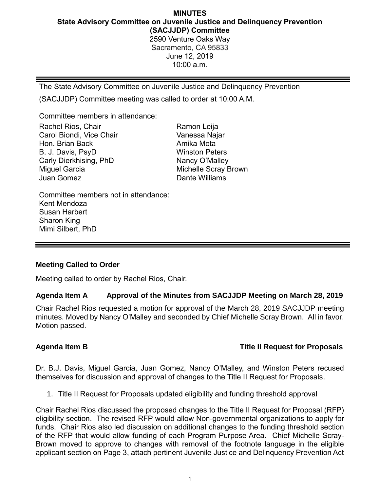## **MINUTES State Advisory Committee on Juvenile Justice and Delinquency Prevention (SACJJDP) Committee** 2590 Venture Oaks Way

Sacramento, CA 95833 June 12, 2019 10:00 a.m.

The State Advisory Committee on Juvenile Justice and Delinquency Prevention

(SACJJDP) Committee meeting was called to order at 10:00 A.M.

Committee members in attendance:

| Rachel Rios, Chair       | Ramon Leija                 |
|--------------------------|-----------------------------|
| Carol Biondi, Vice Chair | Vanessa Najar               |
| Hon. Brian Back          | Amika Mota                  |
| B. J. Davis, PsyD        | <b>Winston Peters</b>       |
| Carly Dierkhising, PhD   | Nancy O'Malley              |
| Miguel Garcia            | <b>Michelle Scray Brown</b> |
| Juan Gomez               | Dante Williams              |
|                          |                             |

Committee members not in attendance: Kent Mendoza Susan Harbert Sharon King Mimi Silbert, PhD

### **Meeting Called to Order**

Meeting called to order by Rachel Rios, Chair.

### **Agenda Item A Approval of the Minutes from SACJJDP Meeting on March 28, 2019**

Chair Rachel Rios requested a motion for approval of the March 28, 2019 SACJJDP meeting minutes. Moved by Nancy O'Malley and seconded by Chief Michelle Scray Brown. All in favor. Motion passed.

## **Agenda Item B Title II Request for Proposals**

Dr. B.J. Davis, Miguel Garcia, Juan Gomez, Nancy O'Malley, and Winston Peters recused themselves for discussion and approval of changes to the Title II Request for Proposals.

1. Title II Request for Proposals updated eligibility and funding threshold approval

Chair Rachel Rios discussed the proposed changes to the Title II Request for Proposal (RFP) eligibility section. The revised RFP would allow Non-governmental organizations to apply for funds. Chair Rios also led discussion on additional changes to the funding threshold section of the RFP that would allow funding of each Program Purpose Area. Chief Michelle Scray-Brown moved to approve to changes with removal of the footnote language in the eligible applicant section on Page 3, attach pertinent Juvenile Justice and Delinquency Prevention Act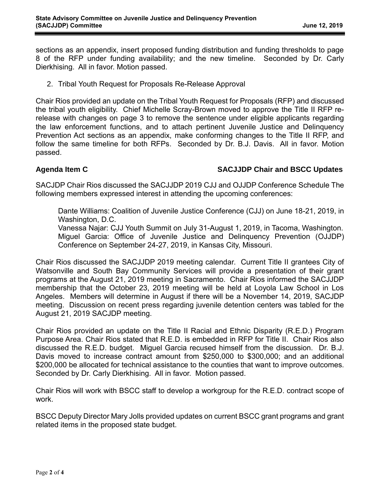sections as an appendix, insert proposed funding distribution and funding thresholds to page 8 of the RFP under funding availability; and the new timeline. Seconded by Dr. Carly Dierkhising. All in favor. Motion passed.

2. Tribal Youth Request for Proposals Re-Release Approval

Chair Rios provided an update on the Tribal Youth Request for Proposals (RFP) and discussed the tribal youth eligibility. Chief Michelle Scray-Brown moved to approve the Title II RFP rerelease with changes on page 3 to remove the sentence under eligible applicants regarding the law enforcement functions, and to attach pertinent Juvenile Justice and Delinquency Prevention Act sections as an appendix, make conforming changes to the Title II RFP, and follow the same timeline for both RFPs. Seconded by Dr. B.J. Davis. All in favor. Motion passed.

### **Agenda Item C SACJJDP Chair and BSCC Updates**

SACJDP Chair Rios discussed the SACJJDP 2019 CJJ and OJJDP Conference Schedule The following members expressed interest in attending the upcoming conferences:

Dante Williams: Coalition of Juvenile Justice Conference (CJJ) on June 18-21, 2019, in Washington, D.C.

Vanessa Najar: CJJ Youth Summit on July 31-August 1, 2019, in Tacoma, Washington. Miguel Garcia: Office of Juvenile Justice and Delinquency Prevention (OJJDP) Conference on September 24-27, 2019, in Kansas City, Missouri.

Chair Rios discussed the SACJJDP 2019 meeting calendar. Current Title II grantees City of Watsonville and South Bay Community Services will provide a presentation of their grant programs at the August 21, 2019 meeting in Sacramento. Chair Rios informed the SACJJDP membership that the October 23, 2019 meeting will be held at Loyola Law School in Los Angeles. Members will determine in August if there will be a November 14, 2019, SACJDP meeting. Discussion on recent press regarding juvenile detention centers was tabled for the August 21, 2019 SACJDP meeting.

Chair Rios provided an update on the Title II Racial and Ethnic Disparity (R.E.D.) Program Purpose Area. Chair Rios stated that R.E.D. is embedded in RFP for Title II. Chair Rios also discussed the R.E.D. budget. Miguel Garcia recused himself from the discussion. Dr. B.J. Davis moved to increase contract amount from \$250,000 to \$300,000; and an additional \$200,000 be allocated for technical assistance to the counties that want to improve outcomes. Seconded by Dr. Carly Dierkhising. All in favor. Motion passed.

Chair Rios will work with BSCC staff to develop a workgroup for the R.E.D. contract scope of work.

BSCC Deputy Director Mary Jolls provided updates on current BSCC grant programs and grant related items in the proposed state budget.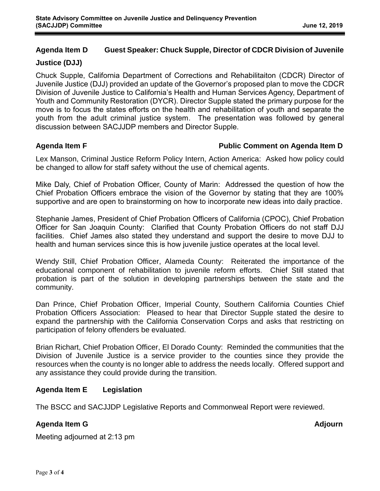# **Agenda Item D Guest Speaker: Chuck Supple, Director of CDCR Division of Juvenile**

### **Justice (DJJ)**

Chuck Supple, California Department of Corrections and Rehabilitaiton (CDCR) Director of Juvenile Justice (DJJ) provided an update of the Governor's proposed plan to move the CDCR Division of Juvenile Justice to California's Health and Human Services Agency, Department of Youth and Community Restoration (DYCR). Director Supple stated the primary purpose for the move is to focus the states efforts on the health and rehabilitation of youth and separate the youth from the adult criminal justice system. The presentation was followed by general discussion between SACJJDP members and Director Supple.

### **Agenda Item F Public Comment on Agenda Item D**

Lex Manson, Criminal Justice Reform Policy Intern, Action America: Asked how policy could be changed to allow for staff safety without the use of chemical agents.

Mike Daly, Chief of Probation Officer, County of Marin: Addressed the question of how the Chief Probation Officers embrace the vision of the Governor by stating that they are 100% supportive and are open to brainstorming on how to incorporate new ideas into daily practice.

Stephanie James, President of Chief Probation Officers of California (CPOC), Chief Probation Officer for San Joaquin County: Clarified that County Probation Officers do not staff DJJ facilities. Chief James also stated they understand and support the desire to move DJJ to health and human services since this is how juvenile justice operates at the local level.

Wendy Still, Chief Probation Officer, Alameda County: Reiterated the importance of the educational component of rehabilitation to juvenile reform efforts. Chief Still stated that probation is part of the solution in developing partnerships between the state and the community.

Dan Prince, Chief Probation Officer, Imperial County, Southern California Counties Chief Probation Officers Association: Pleased to hear that Director Supple stated the desire to expand the partnership with the California Conservation Corps and asks that restricting on participation of felony offenders be evaluated.

Brian Richart, Chief Probation Officer, El Dorado County: Reminded the communities that the Division of Juvenile Justice is a service provider to the counties since they provide the resources when the county is no longer able to address the needs locally. Offered support and any assistance they could provide during the transition.

## **Agenda Item E Legislation**

The BSCC and SACJJDP Legislative Reports and Commonweal Report were reviewed.

## **Agenda Item G** Adjournal Adjournal of the Second Second Second Second Second Second Second Second Second Second Second Second Second Second Second Second Second Second Second Second Second Second Second Second Second Seco

Meeting adjourned at 2:13 pm